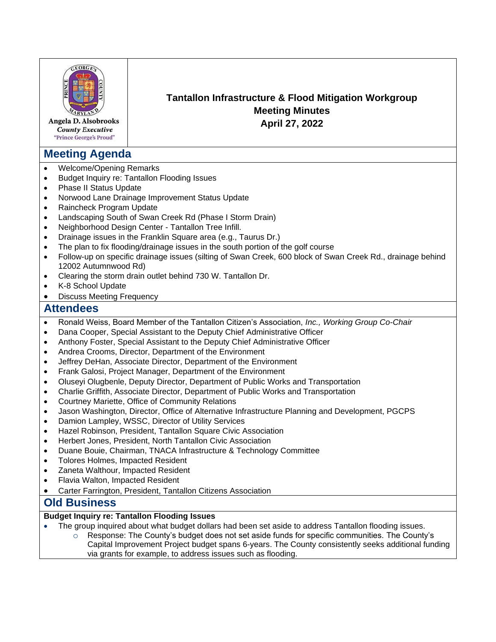

Angela D. Alsobrooks **County Executive** "Prince George's Proud"

# **Meeting Agenda**

- Welcome/Opening Remarks
- Budget Inquiry re: Tantallon Flooding Issues
- Phase II Status Update
- Norwood Lane Drainage Improvement Status Update
- Raincheck Program Update
- Landscaping South of Swan Creek Rd (Phase I Storm Drain)
- Neighborhood Design Center Tantallon Tree Infill.
- Drainage issues in the Franklin Square area (e.g., Taurus Dr.)
- The plan to fix flooding/drainage issues in the south portion of the golf course
- Follow-up on specific drainage issues (silting of Swan Creek, 600 block of Swan Creek Rd., drainage behind 12002 Autumnwood Rd)
- Clearing the storm drain outlet behind 730 W. Tantallon Dr.
- K-8 School Update
- Discuss Meeting Frequency

## **Attendees**

- Ronald Weiss, Board Member of the Tantallon Citizen's Association, *Inc., Working Group Co-Chair*
- Dana Cooper, Special Assistant to the Deputy Chief Administrative Officer
- Anthony Foster, Special Assistant to the Deputy Chief Administrative Officer
- Andrea Crooms, Director, Department of the Environment
- Jeffrey DeHan, Associate Director, Department of the Environment
- Frank Galosi, Project Manager, Department of the Environment
- Oluseyi Olugbenle, Deputy Director, Department of Public Works and Transportation
- Charlie Griffith, Associate Director, Department of Public Works and Transportation
- Courtney Mariette, Office of Community Relations
- Jason Washington, Director, Office of Alternative Infrastructure Planning and Development, PGCPS
- Damion Lampley, WSSC, Director of Utility Services
- Hazel Robinson, President, Tantallon Square Civic Association
- Herbert Jones, President, North Tantallon Civic Association
- Duane Bouie, Chairman, TNACA Infrastructure & Technology Committee
- Tolores Holmes, Impacted Resident
- Zaneta Walthour, Impacted Resident
- Flavia Walton, Impacted Resident
- Carter Farrington, President, Tantallon Citizens Association

## **Old Business**

#### **Budget Inquiry re: Tantallon Flooding Issues**

- The group inquired about what budget dollars had been set aside to address Tantallon flooding issues.
	- $\circ$  Response: The County's budget does not set aside funds for specific communities. The County's Capital Improvement Project budget spans 6-years. The County consistently seeks additional funding via grants for example, to address issues such as flooding.

**Tantallon Infrastructure & Flood Mitigation Workgroup Meeting Minutes April 27, 2022**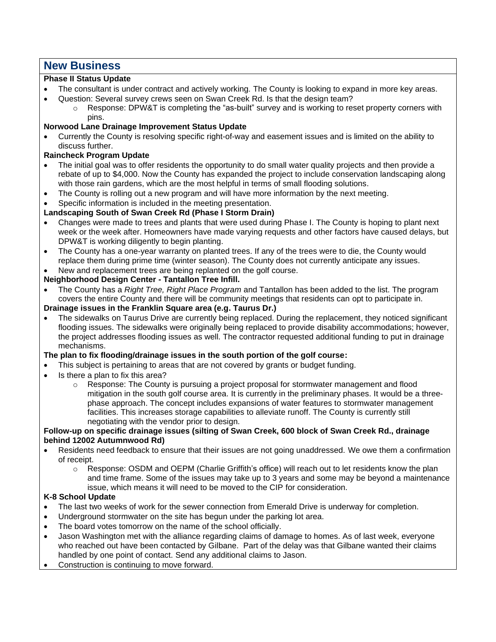# **New Business**

#### **Phase II Status Update**

- The consultant is under contract and actively working. The County is looking to expand in more key areas.
- Question: Several survey crews seen on Swan Creek Rd. Is that the design team?
	- $\circ$  Response: DPW&T is completing the "as-built" survey and is working to reset property corners with pins.

#### **Norwood Lane Drainage Improvement Status Update**

• Currently the County is resolving specific right-of-way and easement issues and is limited on the ability to discuss further.

## **Raincheck Program Update**

- The initial goal was to offer residents the opportunity to do small water quality projects and then provide a rebate of up to \$4,000. Now the County has expanded the project to include conservation landscaping along with those rain gardens, which are the most helpful in terms of small flooding solutions.
- The County is rolling out a new program and will have more information by the next meeting.
- Specific information is included in the meeting presentation.

### **Landscaping South of Swan Creek Rd (Phase I Storm Drain)**

- Changes were made to trees and plants that were used during Phase I. The County is hoping to plant next week or the week after. Homeowners have made varying requests and other factors have caused delays, but DPW&T is working diligently to begin planting.
- The County has a one-year warranty on planted trees. If any of the trees were to die, the County would replace them during prime time (winter season). The County does not currently anticipate any issues.
- New and replacement trees are being replanted on the golf course.

#### **Neighborhood Design Center - Tantallon Tree Infill.**

• The County has a *Right Tree, Right Place Program* and Tantallon has been added to the list. The program covers the entire County and there will be community meetings that residents can opt to participate in.

## **Drainage issues in the Franklin Square area (e.g. Taurus Dr.)**

• The sidewalks on Taurus Drive are currently being replaced. During the replacement, they noticed significant flooding issues. The sidewalks were originally being replaced to provide disability accommodations; however, the project addresses flooding issues as well. The contractor requested additional funding to put in drainage mechanisms.

#### **The plan to fix flooding/drainage issues in the south portion of the golf course:**

- This subject is pertaining to areas that are not covered by grants or budget funding.
- Is there a plan to fix this area?
	- $\circ$  Response: The County is pursuing a project proposal for stormwater management and flood mitigation in the south golf course area. It is currently in the preliminary phases. It would be a threephase approach. The concept includes expansions of water features to stormwater management facilities. This increases storage capabilities to alleviate runoff. The County is currently still negotiating with the vendor prior to design.

#### **Follow-up on specific drainage issues (silting of Swan Creek, 600 block of Swan Creek Rd., drainage behind 12002 Autumnwood Rd)**

- Residents need feedback to ensure that their issues are not going unaddressed. We owe them a confirmation of receipt.
	- o Response: OSDM and OEPM (Charlie Griffith's office) will reach out to let residents know the plan and time frame. Some of the issues may take up to 3 years and some may be beyond a maintenance issue, which means it will need to be moved to the CIP for consideration.

#### **K-8 School Update**

- The last two weeks of work for the sewer connection from Emerald Drive is underway for completion.
- Underground stormwater on the site has begun under the parking lot area.
- The board votes tomorrow on the name of the school officially.
- Jason Washington met with the alliance regarding claims of damage to homes. As of last week, everyone who reached out have been contacted by Gilbane. Part of the delay was that Gilbane wanted their claims handled by one point of contact. Send any additional claims to Jason.
- Construction is continuing to move forward.